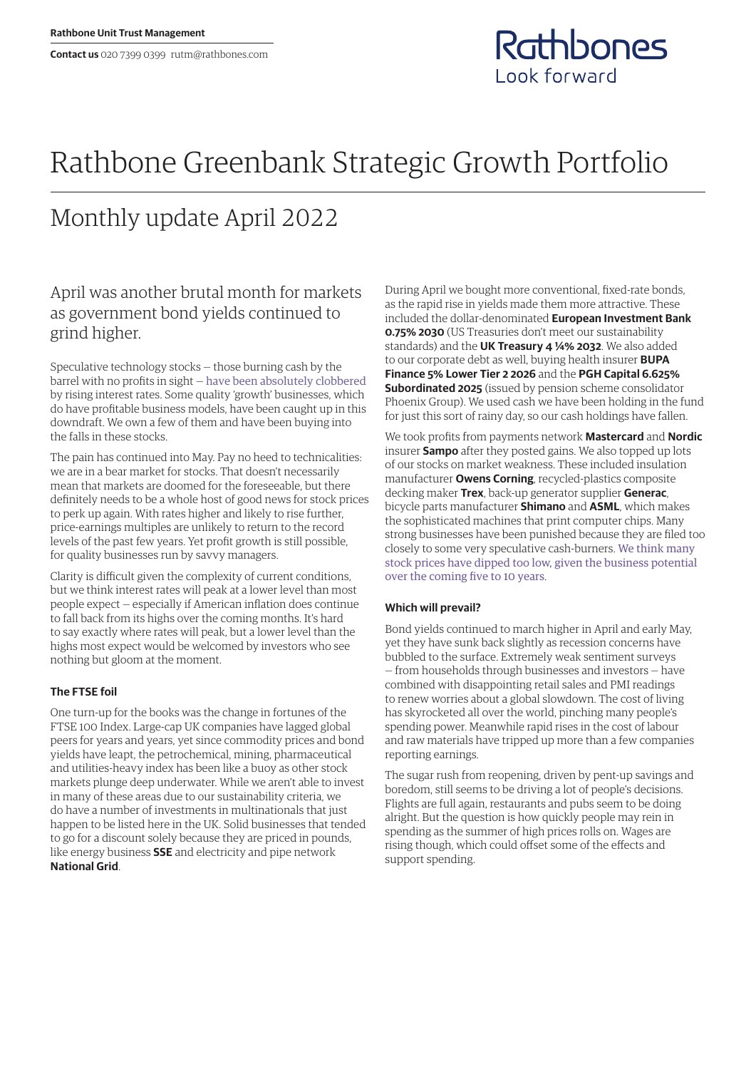

# Rathbone Greenbank Strategic Growth Portfolio

## Monthly update April 2022

## April was another brutal month for markets as government bond yields continued to grind higher.

Speculative technology stocks — those burning cash by the barrel with no profits in sight — [have been absolutely clobbered](https://www.rathbones.com/blog/zombie-financing) by rising interest rates. Some quality 'growth' businesses, which do have profitable business models, have been caught up in this downdraft. We own a few of them and have been buying into the falls in these stocks.

The pain has continued into May. Pay no heed to technicalities: we are in a bear market for stocks. That doesn't necessarily mean that markets are doomed for the foreseeable, but there definitely needs to be a whole host of good news for stock prices to perk up again. With rates higher and likely to rise further, price‑earnings multiples are unlikely to return to the record levels of the past few years. Yet profit growth is still possible, for quality businesses run by savvy managers.

Clarity is difficult given the complexity of current conditions, but we think interest rates will peak at a lower level than most people expect — especially if American inflation does continue to fall back from its highs over the coming months. It's hard to say exactly where rates will peak, but a lower level than the highs most expect would be welcomed by investors who see nothing but gloom at the moment.

### **The FTSE foil**

One turn‑up for the books was the change in fortunes of the FTSE 100 Index. Large‑cap UK companies have lagged global peers for years and years, yet since commodity prices and bond yields have leapt, the petrochemical, mining, pharmaceutical and utilities-heavy index has been like a buoy as other stock markets plunge deep underwater. While we aren't able to invest in many of these areas due to our sustainability criteria, we do have a number of investments in multinationals that just happen to be listed here in the UK. Solid businesses that tended to go for a discount solely because they are priced in pounds, like energy business **SSE** and electricity and pipe network **National Grid**.

During April we bought more conventional, fixed-rate bonds, as the rapid rise in yields made them more attractive. These included the dollar-denominated **European Investment Bank 0.75% 2030** (US Treasuries don't meet our sustainability standards) and the **UK Treasury 4 ¼% 2032**. We also added to our corporate debt as well, buying health insurer **BUPA Finance 5% Lower Tier 2 2026** and the **PGH Capital 6.625% Subordinated 2025** (issued by pension scheme consolidator Phoenix Group). We used cash we have been holding in the fund for just this sort of rainy day, so our cash holdings have fallen.

We took profits from payments network **Mastercard** and **Nordic**  insurer **Sampo** after they posted gains. We also topped up lots of our stocks on market weakness. These included insulation manufacturer **Owens Corning**, recycled-plastics composite decking maker **Trex**, back-up generator supplier **Generac**, bicycle parts manufacturer **Shimano** and **ASML**, which makes the sophisticated machines that print computer chips. Many strong businesses have been punished because they are filed too closely to some very speculative cash-burners. [We think many](https://linktr.ee/thesharpeend)  [stock prices have dipped too low, given the business potential](https://linktr.ee/thesharpeend)  [over the coming five to 10 years](https://linktr.ee/thesharpeend).

### **Which will prevail?**

Bond yields continued to march higher in April and early May, yet they have sunk back slightly as recession concerns have bubbled to the surface. Extremely weak sentiment surveys — from households through businesses and investors — have combined with disappointing retail sales and PMI readings to renew worries about a global slowdown. The cost of living has skyrocketed all over the world, pinching many people's spending power. Meanwhile rapid rises in the cost of labour and raw materials have tripped up more than a few companies reporting earnings.

The sugar rush from reopening, driven by pent-up savings and boredom, still seems to be driving a lot of people's decisions. Flights are full again, restaurants and pubs seem to be doing alright. But the question is how quickly people may rein in spending as the summer of high prices rolls on. Wages are rising though, which could offset some of the effects and support spending.